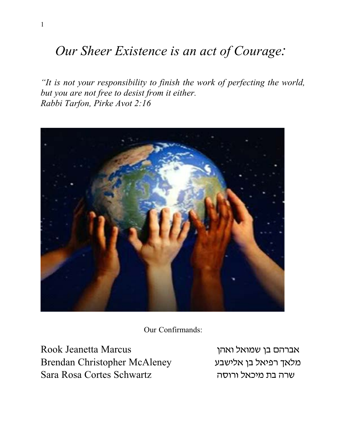# Our Sheer Existence is an act of Courage:

"It is not your responsibility to finish the work of perfecting the world, but you are not free to desist from it either. Rabbi Tarfon, Pirke Avot 2:16



Our Confirmands:

Rook Jeanetta Marcus Brendan Christopher McAleney Sara Rosa Cortes Schwartz

אברהם בן שמואל ואהן מלאך רפיאל בן אלישבע שרה בת מיכאל ורוסה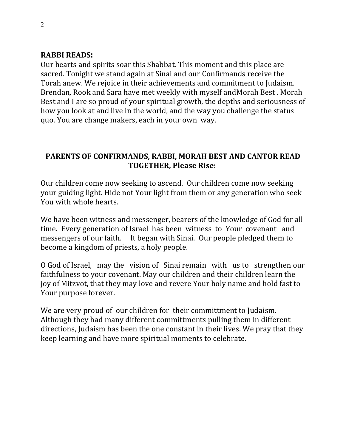#### **RABBI READS:**

Our hearts and spirits soar this Shabbat. This moment and this place are sacred. Tonight we stand again at Sinai and our Confirmands receive the Torah anew. We rejoice in their achievements and commitment to Judaism. Brendan, Rook and Sara have met weekly with myself and Morah Best. Morah Best and I are so proud of your spiritual growth, the depths and seriousness of how you look at and live in the world, and the way you challenge the status quo. You are change makers, each in your own way.

### PARENTS OF CONFIRMANDS, RABBI, MORAH BEST AND CANTOR READ **TOGETHER, Please Rise:**

Our children come now seeking to ascend. Our children come now seeking your guiding light. Hide not Your light from them or any generation who seek You with whole hearts.

We have been witness and messenger, bearers of the knowledge of God for all time. Every generation of Israel has been witness to Your covenant and messengers of our faith. It began with Sinai. Our people pledged them to become a kingdom of priests, a holy people.

O God of Israel, may the vision of Sinai remain with us to strengthen our faithfulness to your covenant. May our children and their children learn the joy of Mitzvot, that they may love and revere Your holy name and hold fast to Your purpose forever.

We are very proud of our children for their committment to Judaism. Although they had many different committments pulling them in different directions, Judaism has been the one constant in their lives. We pray that they keep learning and have more spiritual moments to celebrate.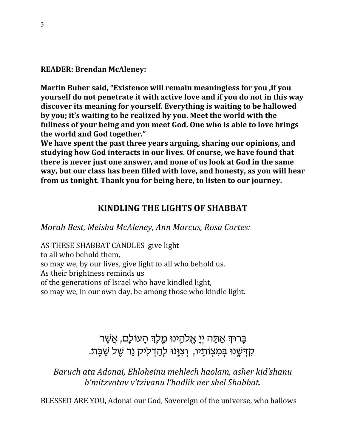#### **READER: Brendan McAleney:**

Martin Buber said, "Existence will remain meaningless for you , if you yourself do not penetrate it with active love and if you do not in this way discover its meaning for yourself. Everything is waiting to be hallowed by you; it's waiting to be realized by you. Meet the world with the fullness of your being and you meet God. One who is able to love brings the world and God together."

We have spent the past three years arguing, sharing our opinions, and studying how God interacts in our lives. Of course, we have found that there is never just one answer, and none of us look at God in the same way, but our class has been filled with love, and honesty, as you will hear from us tonight. Thank you for being here, to listen to our journey.

### **KINDLING THE LIGHTS OF SHABBAT**

Morah Best, Meisha McAleney, Ann Marcus, Rosa Cortes:

AS THESE SHABBAT CANDLES give light to all who behold them. so may we, by our lives, give light to all who behold us. As their brightness reminds us of the generations of Israel who have kindled light, so may we, in our own day, be among those who kindle light.

> ַבָּרוּךְ אַתָּה יְיָ אֱלֹהֵינוּ מֶלֶךְ הָעוֹלָם, אֲשֶׁר קִדְשֵׁנוּ בִּמְצְוֹתַיו, וְצְוֵּנוּ לְהַדְלִיק נֵר שֵׁל שַׁבַּת.

Baruch ata Adonai, Ehloheinu mehlech haolam, asher kid'shanu b'mitzvotav v'tzivanu l'hadlik ner shel Shabbat.

BLESSED ARE YOU, Adonai our God, Sovereign of the universe, who hallows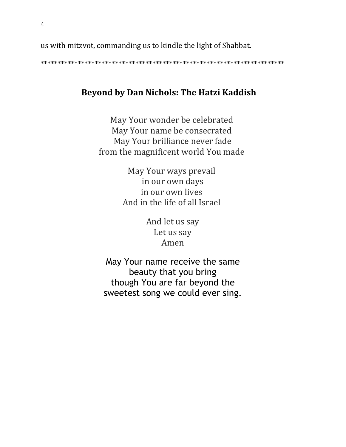us with mitzvot, commanding us to kindle the light of Shabbat.

### **Beyond by Dan Nichols: The Hatzi Kaddish**

May Your wonder be celebrated May Your name be consecrated May Your brilliance never fade from the magnificent world You made

> May Your ways prevail in our own days in our own lives And in the life of all Israel

> > And let us say Let us say Amen

May Your name receive the same beauty that you bring though You are far beyond the sweetest song we could ever sing.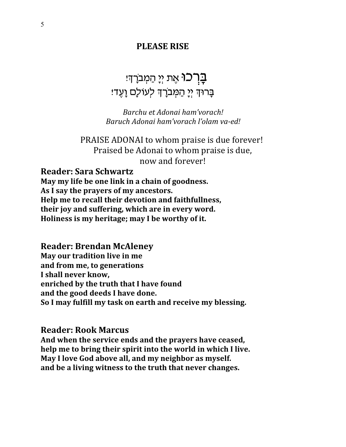### **PLEASE RISE**

## **ַּבְרְ־כוּ** אֶת יְיָ הַמְבֹרְדִּי בָרוּךְ יְיָ הַמְּבֹרָךְ לְעוֹלָם וָעֶד؛

Barchu et Adonai ham'vorach! Baruch Adonai ham'vorach l'olam va-ed!

PRAISE ADONAI to whom praise is due forever! Praised be Adonai to whom praise is due, now and forever!

**Reader: Sara Schwartz** 

May my life be one link in a chain of goodness. As I say the prayers of my ancestors. Help me to recall their devotion and faithfullness, their joy and suffering, which are in every word. Holiness is my heritage; may I be worthy of it.

**Reader: Brendan McAleney** May our tradition live in me and from me, to generations I shall never know, enriched by the truth that I have found and the good deeds I have done. So I may fulfill my task on earth and receive my blessing.

**Reader: Rook Marcus** 

And when the service ends and the prayers have ceased, help me to bring their spirit into the world in which I live. May I love God above all, and my neighbor as myself. and be a living witness to the truth that never changes.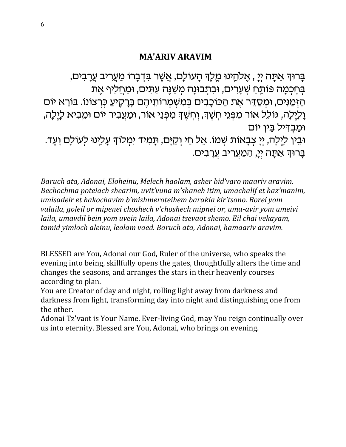### **MA'ARIV ARAVIM**

בָרוּךְ אַתָּה יִיַ , אֵלְהֵינוּ מֵלֵךְ הָעוֹלָם, אֲשֶׁר בִּדְבָרוֹ מַעֲרִיב עֲרָבִים, בְּחָכְמָה פּוֹתֵחַ שִׁעֲרִים, וּבִתְבוּנָה מִשַּׁנֵּה עִתִּים, וּמַחֲלִיף אֵת הַזְּמַנִּים, וּמִסֲדֵּר אֵת הַכּוֹכָבִים בְּמִשְׁמְרוֹתֵיהֵם בָּרָקֵיעַ כִּרְצוֹנוֹ. בּוֹרֵא יוֹם וָלְיֶלָה, גוֹלֵל אוֹר מִפְּנֵי חְשֶׁךָ, וְחְשֶׁךָ מִפְּנֵי אוֹר, וּמַעֲבִיר יוֹם וּמֵבִיא לַיֶּלָה, וּמבדיל בין יוֹם וּבֵין לַיֱלָה, יְיָ צְבָאוֹת שְׁמוֹ. אֵל חַי וְקַיָּם, תָּמִיד יִמְלוֹךְ עָלִינוּ לְעוֹלָם וָעֶד. ַבָּרוּךְ אַתָּה יִיָ, <u>הַמַעֲ</u>רִיב עֲרָבִים.

Baruch ata, Adonai, Eloheinu, Melech haolam, asher bid'varo maariv aravim. Bechochma poteiach shearim, uvit'vuna m'shaneh itim, umachalif et haz'manim, umisadeir et hakochavim b'mishmeroteihem barakia kir'tsono. Borei yom valaila, goleil or mipenei choshech v'choshech mipnei or, uma-avir yom umeivi laila, umavdil bein yom uvein laila, Adonai tsevaot shemo. Eil chai vekayam, tamid yimloch aleinu, leolam vaed. Baruch ata, Adonai, hamaariv aravim.

BLESSED are You, Adonai our God, Ruler of the universe, who speaks the evening into being, skillfully opens the gates, thoughtfully alters the time and changes the seasons, and arranges the stars in their heavenly courses according to plan.

You are Creator of day and night, rolling light away from darkness and darkness from light, transforming day into night and distinguishing one from the other.

Adonai Tz'vaot is Your Name. Ever-living God, may You reign continually over us into eternity. Blessed are You, Adonai, who brings on evening.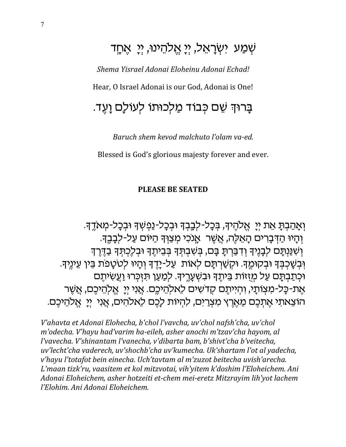# שְׁמַע יִשְׂרָאֵל, יְיָ אֱלהֵינוּ, יִיַ אֵחֲד

Shema Yisrael Adonai Eloheinu Adonai Echad! Hear, O Israel Adonai is our God, Adonai is One!

# בַּרוּדְ שֵׁם כִּבוֹד מַלְכוּתוֹ לְעוֹלַם וַעֵּד.

Baruch shem kevod malchuto l'olam va-ed.

Blessed is God's glorious majesty forever and ever.

#### **PLEASE BE SEATED**

וְאַהַבְתַּ אֶת יִיַ אֱלֹהֵיךָ, בְּכָל-לְבָבְךָ וּבְכָל-נַפְשְׁךָ וּבְכָל-מִאדֵךָ. וְהָיוּ הַדְּבָרִים הָאֵלֶה, אֲשֶׁר אֲנִכִי מִצַּוִּךְ הַיּוֹם עַל-לִבָּבֵךְ. וְשִׁנַּנְתָּם לְבָנֶיךָ וְדִבַּרְתָּ בָּם, בְּשִׁבְתְּךָ בְּבֵיתֶךָ וּבְלֶכְתְּךָ בַדֶּרֶךְ וְּבְשָׁכְבְּךָ וּבְקוּמֶךָ. וּקְשַׁרְתָּם לְאוֹת עַל-יָדֵךְ וְהָיוּ לְטֹטַפֹת בֵּין עֵינֵיךָ. וּכְתַבְתָּם עַל מְזֻזוֹת בֵּיתֵךְ וּבִשְׁעָרֵיךָ. לְמַעַן תּזִכְּרוּ וַעֲשִׂיתֵם אֶת-כָּל-מִצְוֹתָי, וְהִיִיתֵם קִדְשִׁים לֵאלְהֵיכֵם. אֲנִי יִיַ אֱלְהֵיכֶם, אֲשֶׁר הוֹצֵאתִי אֵתְכֵם מֵאֵרֶץ מִצְרַיִם, לְהִיוֹת לַכֵם לֵאלהִים, אֲנִי יִיַ אֱלֹהֵיכֶם.

V'ahavta et Adonai Elohecha, b'chol l'vavcha, uv'chol nafsh'cha, uv'chol m'odecha. V'hayu had'varim ha-eileh, asher anochi m'tzav'cha hayom, al l'vavecha. V'shinantam l'vanecha, v'dibarta bam, b'shivt'cha b'veitecha, uv'lecht'cha vaderech, uv'shochb'cha uv'kumecha. Uk'shartam l'ot al yadecha, v'hayu l'totafot bein einecha. Uch'tavtam al m'zuzot beitecha uvish'arecha. L'maan tizk'ru, vaasitem et kol mitzvotai, vih'yitem k'doshim l'Eloheichem. Ani Adonai Eloheichem, asher hotzeiti et-chem mei-eretz Mitzrayim lih'yot lachem l'Elohim, Ani Adonai Eloheichem.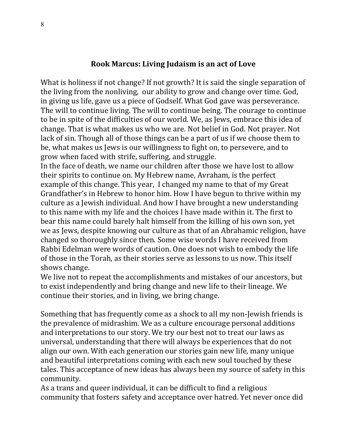#### Rook Marcus: Living Judaism is an act of Love

What is holiness if not change? If not growth? It is said the single separation of the living from the nonliving, our ability to grow and change over time. God, in giving us life, gave us a piece of Godself. What God gave was perseverance. The will to continue living. The will to continue being. The courage to continue to be in spite of the difficulties of our world. We, as Jews, embrace this idea of change. That is what makes us who we are. Not belief in God. Not prayer. Not lack of sin. Though all of those things can be a part of us if we choose them to be, what makes us Jews is our willingness to fight on, to persevere, and to grow when faced with strife, suffering, and struggle.

In the face of death, we name our children after those we have lost to allow their spirits to continue on. My Hebrew name, Avraham, is the perfect example of this change. This year, I changed my name to that of my Great Grandfather's in Hebrew to honor him. How I have begun to thrive within my culture as a Jewish individual. And how I have brought a new understanding to this name with my life and the choices I have made within it. The first to bear this name could barely halt himself from the killing of his own son, yet we as Jews, despite knowing our culture as that of an Abrahamic religion, have changed so thoroughly since then. Some wise words I have received from Rabbi Edelman were words of caution. One does not wish to embody the life of those in the Torah, as their stories serve as lessons to us now. This itself shows change.

We live not to repeat the accomplishments and mistakes of our ancestors, but to exist independently and bring change and new life to their lineage. We continue their stories, and in living, we bring change.

Something that has frequently come as a shock to all my non-Jewish friends is the prevalence of midrashim. We as a culture encourage personal additions and interpretations to our story. We try our best not to treat our laws as universal, understanding that there will always be experiences that do not align our own. With each generation our stories gain new life, many unique and beautiful interpretations coming with each new soul touched by these tales. This acceptance of new ideas has always been my source of safety in this community.

As a trans and queer individual, it can be difficult to find a religious community that fosters safety and acceptance over hatred. Yet never once did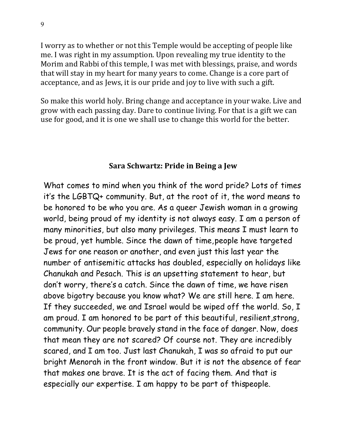I worry as to whether or not this Temple would be accepting of people like me. I was right in my assumption. Upon revealing my true identity to the Morim and Rabbi of this temple, I was met with blessings, praise, and words that will stay in my heart for many years to come. Change is a core part of acceptance, and as Jews, it is our pride and joy to live with such a gift.

So make this world holy. Bring change and acceptance in your wake. Live and grow with each passing day. Dare to continue living. For that is a gift we can use for good, and it is one we shall use to change this world for the better.

#### Sara Schwartz: Pride in Being a Jew

What comes to mind when you think of the word pride? Lots of times it's the LGBTQ+ community. But, at the root of it, the word means to be honored to be who you are. As a queer Jewish woman in a growing world, being proud of my identity is not always easy. I am a person of many minorities, but also many privileges. This means I must learn to be proud, yet humble. Since the dawn of time, people have targeted Jews for one reason or another, and even just this last year the number of antisemitic attacks has doubled, especially on holidays like Chanukah and Pesach. This is an upsetting statement to hear, but don't worry, there's a catch. Since the dawn of time, we have risen above bigotry because you know what? We are still here. I am here. If they succeeded, we and Israel would be wiped off the world. So, I am proud. I am honored to be part of this beautiful, resilient, strong, community. Our people bravely stand in the face of danger. Now, does that mean they are not scared? Of course not. They are incredibly scared, and I am too. Just last Chanukah, I was so afraid to put our bright Menorah in the front window. But it is not the absence of fear that makes one brave. It is the act of facing them. And that is especially our expertise. I am happy to be part of this people.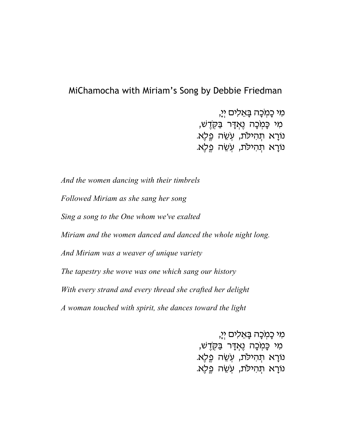### MiChamocha with Miriam's Song by Debbie Friedman

מִי כָּמְכָה בָּאֵלִים יְיָ, מִי כָּמְכָה נֶאֲדָר בַּקְדֶשׁ, נוֹרָא תִהִילֹת, עְשֵׂה פֵלֵא. נורָא תְהִילֹת, עְשֶׁה פֵלָא.

*And the women dancing with their timbrels Followed Miriam as she sang her song Sing a song to the One whom we've exalted Miriam and the women danced and danced the whole night long. And Miriam was a weaver of unique variety The tapestry she wove was one which sang our history With every strand and every thread she crafted her delight A woman touched with spirit, she dances toward the light*

> מִי כַמִ*ּכַה בַּאֵלִים יִיַ,* מִי כָּמְכָה נֶאְדָּר בַּקְדֶשׁ, נוֹרָא תְהִילֹת, עְשֵׁה פֵלֵא. נורָא תִהִילֹת, עְשֵׂה פֵלֵא.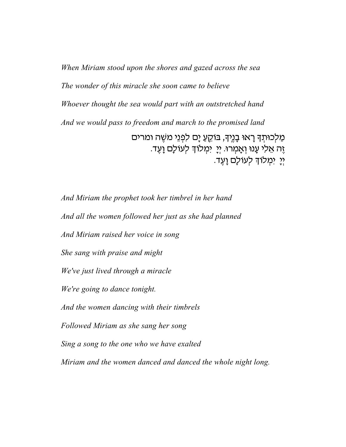*When Miriam stood upon the shores and gazed across the sea The wonder of this miracle she soon came to believe Whoever thought the sea would part with an outstretched hand And we would pass to freedom and march to the promised land* מַלְכוּתְךָ רָאוּ בָנֶיךָ, בּוֹקֵעַ יָם לִפְנֵי משֶׁה ומרים ֶזָה אֵלִי עָנוּ וְאָמְרוּ. יְיָ יִמְלוֹךְ לְעוֹלָם וָעֶד. יִי יִמְלוֹךְ לְעוֹלָם וַעֵד.

*And Miriam the prophet took her timbrel in her hand And all the women followed her just as she had planned And Miriam raised her voice in song She sang with praise and might We've just lived through a miracle We're going to dance tonight. And the women dancing with their timbrels Followed Miriam as she sang her song Sing a song to the one who we have exalted Miriam and the women danced and danced the whole night long.*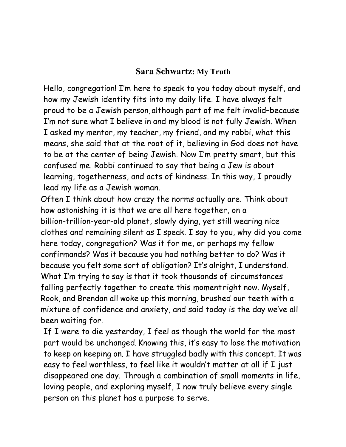### **Sara Schwartz: My Truth**

Hello, congregation! I'm here to speak to you today about myself, and how my Jewish identity fits into my daily life. I have always felt proud to be a Jewish person, although part of me felt invalid–because I'm not sure what I believe in and my blood is not fully Jewish. When I asked my mentor, my teacher, my friend, and my rabbi, what this means, she said that at the root of it, believing in God does not have to be at the center of being Jewish. Now I'm pretty smart, but this confused me. Rabbi continued to say that being a Jew is about learning, togetherness, and acts of kindness. In this way, I proudly lead my life as a Jewish woman.

Often I think about how crazy the norms actually are. Think about how astonishing it is that we are all here together, on a billion-trillion-year-old planet, slowly dying, yet still wearing nice clothes and remaining silent as I speak. I say to you, why did you come here today, congregation? Was it for me, or perhaps my fellow confirmands? Was it because you had nothing better to do? Was it because you felt some sort of obligation? It's alright, I understand. What I'm trying to say is that it took thousands of circumstances falling perfectly together to create this moment right now. Myself, Rook, and Brendan all woke up this morning, brushed our teeth with a mixture of confidence and anxiety, and said today is the day we've all been waiting for.

If I were to die yesterday, I feel as though the world for the most part would be unchanged. Knowing this, it's easy to lose the motivation to keep on keeping on. I have struggled badly with this concept. It was easy to feel worthless, to feel like it wouldn't matter at all if I just disappeared one day. Through a combination of small moments in life, loving people, and exploring myself, I now truly believe every single person on this planet has a purpose to serve.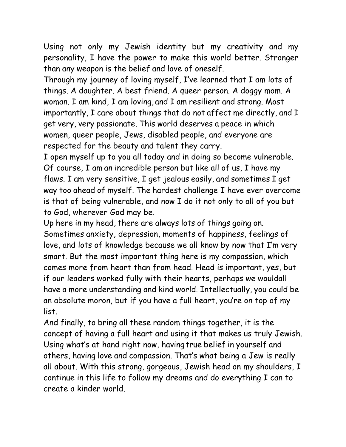Using not only my Jewish identity but my creativity and my personality, I have the power to make this world better. Stronger than any weapon is the belief and love of oneself.

Through my journey of loving myself, I've learned that I am lots of things. A daughter. A best friend. A queer person. A doggy mom. A woman. I am kind, I am loving, and I am resilient and strong. Most importantly, I care about things that do not affect me directly, and I get very, very passionate. This world deserves a peace in which women, queer people, Jews, disabled people, and everyone are respected for the beauty and talent they carry.

I open myself up to you all today and in doing so become vulnerable. Of course, I am an incredible person but like all of us, I have my flaws. I am very sensitive, I get jealous easily, and sometimes I get way too ahead of myself. The hardest challenge I have ever overcome is that of being vulnerable, and now I do it not only to all of you but to God, wherever God may be.

Up here in my head, there are always lots of things going on. Sometimes anxiety, depression, moments of happiness, feelings of love, and lots of knowledge because we all know by now that I'm very smart. But the most important thing here is my compassion, which comes more from heart than from head. Head is important, yes, but if our leaders worked fully with their hearts, perhaps we wouldall have a more understanding and kind world. Intellectually, you could be an absolute moron, but if you have a full heart, you're on top of my list.

And finally, to bring all these random things together, it is the concept of having a full heart and using it that makes us truly Jewish. Using what's at hand right now, having true belief in yourself and others, having love and compassion. That's what being a Jew is really all about. With this strong, gorgeous, Jewish head on my shoulders, I continue in this life to follow my dreams and do everything I can to create a kinder world.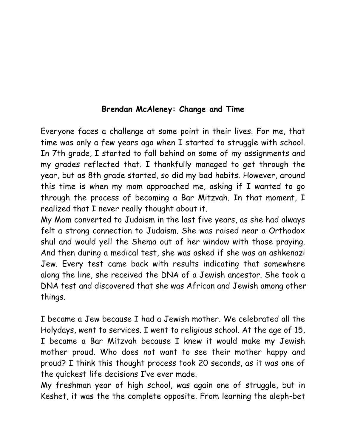### **Brendan McAleney: Change and Time**

Everyone faces a challenge at some point in their lives. For me, that time was only a few years ago when I started to struggle with school. In 7th grade, I started to fall behind on some of my assignments and my grades reflected that. I thankfully managed to get through the year, but as 8th grade started, so did my bad habits. However, around this time is when my mom approached me, asking if I wanted to go through the process of becoming a Bar Mitzvah. In that moment, I realized that I never really thought about it.

My Mom converted to Judaism in the last five years, as she had always felt a strong connection to Judaism. She was raised near a Orthodox shul and would yell the Shema out of her window with those praying. And then during a medical test, she was asked if she was an ashkenazi Jew. Every test came back with results indicating that somewhere along the line, she received the DNA of a Jewish ancestor. She took a DNA test and discovered that she was African and Jewish among other things.

I became a Jew because I had a Jewish mother. We celebrated all the Holydays, went to services. I went to religious school. At the age of 15, I became a Bar Mitzvah because I knew it would make my Jewish mother proud. Who does not want to see their mother happy and proud? I think this thought process took 20 seconds, as it was one of the quickest life decisions I've ever made.

My freshman year of high school, was again one of struggle, but in Keshet, it was the the complete opposite. From learning the aleph-bet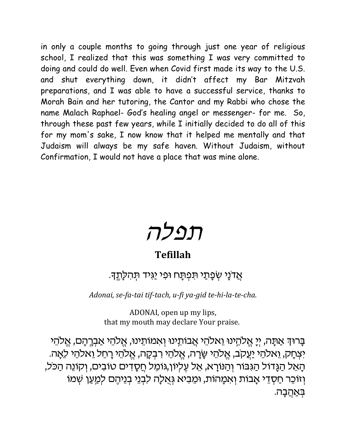in only a couple months to going through just one year of religious school, I realized that this was something I was very committed to doing and could do well. Even when Covid first made its way to the U.S. and shut everything down, it didn't affect my Bar Mitzvah preparations, and I was able to have a successful service, thanks to Morah Bain and her tutoring, the Cantor and my Rabbi who chose the name Malach Raphael- God's healing angel or messenger- for me. So, through these past few years, while I initially decided to do all of this for my mom's sake, I now know that it helped me mentally and that Judaism will always be my safe haven. Without Judaism, without Confirmation, I would not have a place that was mine alone.



### **Tefillah**

### אַדנַי שִׂפַּתַי תִּפְתַּח וּפִי יַגְּיד תְּהִלַ<u>תֵ</u>דְ.

Adonai, se-fa-tai tif-tach, u-fi ya-gid te-hi-la-te-cha.

ADONAI, open up my lips, that my mouth may declare Your praise.

בָרוּדְ אַתָּה, יְיָ אֱלֹהֵינוּ וֵאלֹהֵי אֲבוֹתֵינוּ וְאמוֹתֵינוּ, אֱלֹהֵי אַבְרֶהָם, אֱלֹהֵי יִצְחָק, וֵאלהֵי יַעֲקֹב, אֱלהֵי שֶׂרָה, אֱלֹהֵי רִבְקָה, אֱלֹהֵי רָחֵל וֵאלֹהֵי לֵאֶה. הָאֵל הַגָּדוֹל הַגִּבּוֹר וְהַנּוֹרָא, אֵל עֶלְיוֹן,גּוֹמֵל חֲסָדִים טובים, וְקוֹנֵה הַכֹּל, וְזוֹכֵר חַסְדֵי אָבוֹת וְא*ַמְ*הוֹת, וּמֵבִיא גְּאֻלָה לִבְנֵי בְנֵיהֶם לְמַעַן שְׁמוֹ .<br>בַּאֲהֲבָה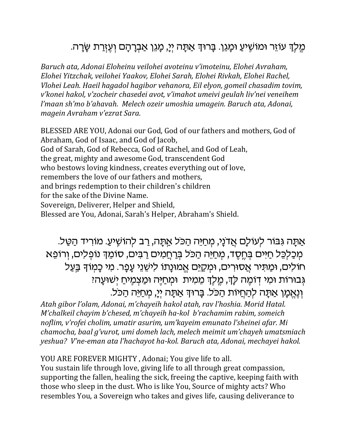### ְמֶלֶךְ עוֹזֵר וּמוֹשָׁיעַ וּמָגֵן. בָּרוּךְ אַתָּה יְיָ, מָגֵן אַבְרָהָם וְעֶזְרַת שָׂרָה.

Baruch ata, Adonai Eloheinu veilohei avoteinu v'imoteinu, Elohei Avraham, Elohei Yitzchak, veilohei Yaakov, Elohei Sarah, Elohei Rivkah, Elohei Rachel, Vlohei Leah. Haeil hagadol hagibor vehanora, Eil elyon, gomeil chasadim tovim, v'konei hakol, v'zocheir chasedei avot, v'imahot umeivi geulah liv'nei veneihem l'maan sh'mo b'ahavah. Melech ozeir umoshia umagein. Baruch ata, Adonai, magein Avraham v'ezrat Sara.

BLESSED ARE YOU, Adonai our God, God of our fathers and mothers, God of Abraham, God of Isaac, and God of Jacob, God of Sarah, God of Rebecca, God of Rachel, and God of Leah, the great, mighty and awesome God, transcendent God who bestows loving kindness, creates everything out of love. remembers the love of our fathers and mothers. and brings redemption to their children's children for the sake of the Divine Name. Sovereign, Deliverer, Helper and Shield, Blessed are You, Adonai, Sarah's Helper, Abraham's Shield.

אַתָּה גִּבּוֹר לְעוֹלָם אֲדנָי, מִחַיֵּה הַכּל אַתָּה, רַב לְהוֹשֵׁיעַ. מוֹרִיד הַטַּל. מְכַלְכֵּל חַיּים בְּחֵסֶד, מִחַיֵּה הַכֹּל בְּרַחֲמִים רַבִּים, סוֹמֵךְ נוֹפְלִים, וְרוֹפֵא חוֹלים, וּמַתִּיר אֲסוּרִים, וּמִקַיֵּם אֱמוּנָתוֹ לִישֶׁנֵי עָפָר. מִי כָמְוֹדְּ בַּעַל גְּבוּרוֹת וּמִי דְוֹמֵה לַדְּ, מֵלֵךְ מֵמִית וּמְחַיֵּה וּמַצִמְיחַ יְשׁוּעָה: וְנְאֵמָן אַתָּה לְהַחֲיוֹת הַכֹּל. בָּרוּךְ אַתָּה יִיָ, מִחַיֵּה הַכֹּל.

Atah gibor l'olam, Adonai, m'chayeih hakol atah, rav l'hoshia. Morid Hatal. M'chalkeil chayim b'chesed, m'chayeih ha-kol b'rachamim rabim, someich noflim, v'rofei cholim, umatir asurim, um'kayeim emunato l'sheinei afar. Mi chamocha, baal g'vurot, umi domeh lach, melech meimit um'chayeh umatsmiach yeshua? V'ne-eman ata l'hachayot ha-kol. Baruch ata, Adonai, mechayei hakol.

#### YOU ARE FOREVER MIGHTY, Adonai; You give life to all.

You sustain life through love, giving life to all through great compassion, supporting the fallen, healing the sick, freeing the captive, keeping faith with those who sleep in the dust. Who is like You, Source of mighty acts? Who resembles You, a Sovereign who takes and gives life, causing deliverance to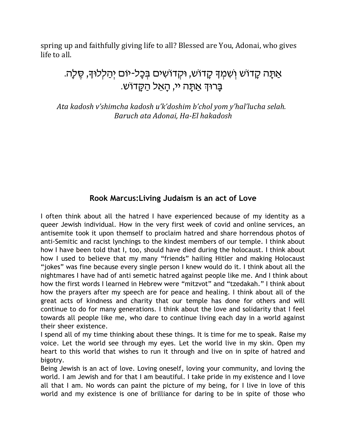spring up and faithfully giving life to all? Blessed are You, Adonai, who gives life to all.

### אַתָּה קָדוֹש וִשְמִךְ קָדוֹש, וּקְדוֹשִים בִּכָל-יוֹם יִהַלְלוּךָ, סֵלָה. ַבְּרוּךְ אַתֲה יי, הַאֱל הַקֲדוֹש.

Ata kadosh v'shimcha kadosh u'k'doshim b'chol yom y'hal'lucha selah. Baruch ata Adonai, Ha-El hakadosh

### **Rook Marcus:Living Judaism is an act of Love**

I often think about all the hatred I have experienced because of my identity as a queer Jewish individual. How in the very first week of covid and online services, an antisemite took it upon themself to proclaim hatred and share horrendous photos of anti-Semitic and racist lynchings to the kindest members of our temple. I think about how I have been told that I, too, should have died during the holocaust. I think about how I used to believe that my many "friends" hailing Hitler and making Holocaust "jokes" was fine because every single person I knew would do it. I think about all the nightmares I have had of anti semetic hatred against people like me. And I think about how the first words I learned in Hebrew were "mitzvot" and "tzedakah." I think about how the prayers after my speech are for peace and healing. I think about all of the great acts of kindness and charity that our temple has done for others and will continue to do for many generations. I think about the love and solidarity that I feel towards all people like me, who dare to continue living each day in a world against their sheer existence.

I spend all of my time thinking about these things. It is time for me to speak. Raise my voice. Let the world see through my eyes. Let the world live in my skin. Open my heart to this world that wishes to run it through and live on in spite of hatred and bigotry.

Being Jewish is an act of love. Loving oneself, loving your community, and loving the world. I am Jewish and for that I am beautiful. I take pride in my existence and I love all that I am. No words can paint the picture of my being, for I live in love of this world and my existence is one of brilliance for daring to be in spite of those who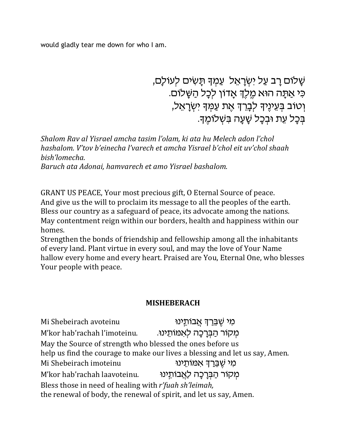would gladly tear me down for who I am.

ּשָׁלוֹם רַב עַל יִשְׂרָאֵל עַמְךָ תַּשִׂים לְעוֹלַם, כִּי אֲתַּה הוּא מֵלֶךְ אֲדוֹן לִכָּל הַשַּׁלוֹם. וְטוֹב בְּעֵינֵיךְ לִבָרֵךְ אֵת עַמְךָ יִשְׂרָאֵל, ּבְּכַל עֶת וּבְכַל שַׁעֲה בִּשְׁלוֹמֵךָ.

Shalom Ray al Yisrael amcha tasim l'olam, ki ata hu Melech adon l'chol hashalom. V'tov b'einecha l'varech et amcha Yisrael b'chol eit uv'chol shaah bish'lomecha. Baruch ata Adonai, hamvarech et amo Yisrael bashalom.

GRANT US PEACE, Your most precious gift, O Eternal Source of peace. And give us the will to proclaim its message to all the peoples of the earth. Bless our country as a safeguard of peace, its advocate among the nations. May contentment reign within our borders, health and happiness within our homes.

Strengthen the bonds of friendship and fellowship among all the inhabitants of every land. Plant virtue in every soul, and may the love of Your Name hallow every home and every heart. Praised are You, Eternal One, who blesses Your people with peace.

### **MISHEBERACH**

ּמִי שֶׁבֵּרַךְ אֲבוֹתֵינוּ Mi Shebeirach avoteinu מקור הברכה לאמותינו. M'kor hab'rachah l'imoteinu. May the Source of strength who blessed the ones before us help us find the courage to make our lives a blessing and let us say, Amen. מי שברד אמותינו Mi Shebeirach imoteinu מקור הַבַּרְכָה לַאֲבוֹתֵינוּ M'kor hab'rachah laavoteinu. Bless those in need of healing with r'fuah sh'leimah, the renewal of body, the renewal of spirit, and let us say, Amen.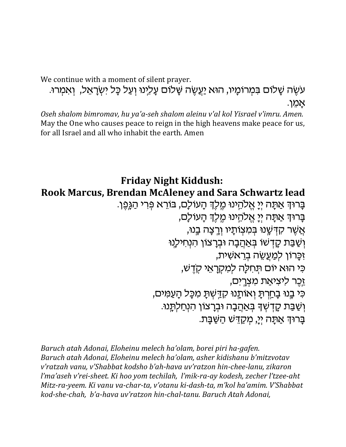We continue with a moment of silent prayer.

עשֶׂה שַׁלוּם בִּמְרוּמַיו, הוּא יַעֲשֶׂה שַׁלוּם עַלְינוּ וְעַל כַּל יִשְׂרַאֵל, וְאִמְרוּ. אַמן.

Oseh shalom bimromav, hu ya'a-seh shalom aleinu v'al kol Yisrael v'imru. Amen. May the One who causes peace to reign in the high heavens make peace for us, for all Israel and all who inhabit the earth. Amen

### **Friday Night Kiddush:** Rook Marcus, Brendan McAleney and Sara Schwartz lead ַבָּרוּךְ אַתָּה יִיַ אֱלֹהֵינוּ מֵלֶֹךְ הָעוֹלָם, בּוֹרֵא פִּרִי הַגֲּפֵן. בַּרוּדְ אַתַּה יִיַ אֱלהֵינוּ מֵלֶדְ הַעוֹלַם,

אַשַׁר קדִּשֵׁנוּ בַּמִצְוּתַיו וַרְצַה בֵנוּ, וְשַׁבַּת קָדְשׁוֹ בִּאַהֲבָה וּבִרְצוֹן הִנְחִילְנוּ זִכָּרוֹן לִמַעֲשֶׂה בְרֵאשִׁית, כִּי הוּא יוֹם תְּחִלָּה לִמְקְרָאֵי קְדֵשׁ, זֶכֵר ליציאַת מִצְרֵים, כִּי בֶנוּ בָחַרְתָּ וְאוֹתֶנוּ קְדַשִּׁתָּ מִכָּל הָעֲמִים, וְשַׁבַּת קָדְשְׁךָ בְּאַהֲבָה וּבִרָצוֹן הִנְחַלְתֵּנוּ. ברוד אתה יי, מקדש השבת.

Baruch atah Adonai, Eloheinu melech ha'olam, borei piri ha-gafen. Baruch atah Adonai, Eloheinu melech ha'olam, asher kidishanu b'mitzvotav v'ratzah vanu, v'Shabbat kodsho b'ah-hava uv'ratzon hin-chee-lanu, zikaron l'ma'aseh v'rei-sheet. Ki hoo yom techilah, l'mik-ra-ay kodesh, zecher l'tzee-aht Mitz-ra-yeem. Ki yanu ya-char-ta, y'otanu ki-dash-ta, m'kol ha'amim. V'Shabbat kod-she-chah, b'a-hava uv'ratzon hin-chal-tanu. Baruch Atah Adonai,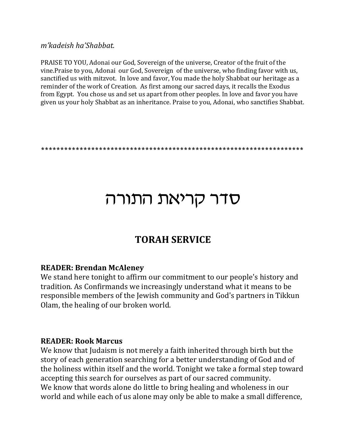m'kadeish ha'Shabbat.

PRAISE TO YOU, Adonai our God, Sovereign of the universe, Creator of the fruit of the vine. Praise to you, Adonai our God, Sovereign of the universe, who finding favor with us, sanctified us with mitzvot. In love and favor, You made the holy Shabbat our heritage as a reminder of the work of Creation. As first among our sacred days, it recalls the Exodus from Egypt. You chose us and set us apart from other peoples. In love and favor you have given us your holy Shabbat as an inheritance. Praise to you, Adonai, who sanctifies Shabbat.

# סדר קריאת התורה

### **TORAH SERVICE**

### **READER: Brendan McAleney**

We stand here tonight to affirm our commitment to our people's history and tradition. As Confirmands we increasingly understand what it means to be responsible members of the Jewish community and God's partners in Tikkun Olam, the healing of our broken world.

### **READER: Rook Marcus**

We know that Judaism is not merely a faith inherited through birth but the story of each generation searching for a better understanding of God and of the holiness within itself and the world. Tonight we take a formal step toward accepting this search for ourselves as part of our sacred community. We know that words alone do little to bring healing and wholeness in our world and while each of us alone may only be able to make a small difference,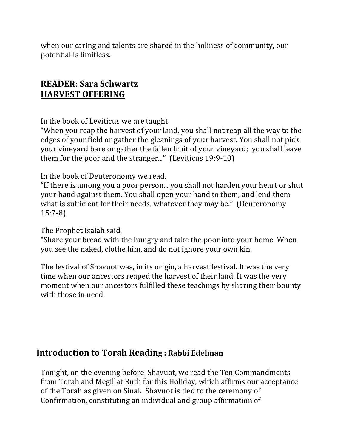when our caring and talents are shared in the holiness of community, our potential is limitless.

### **READER: Sara Schwartz HARVEST OFFERING**

In the book of Leviticus we are taught:

"When you reap the harvest of your land, you shall not reap all the way to the edges of your field or gather the gleanings of your harvest. You shall not pick your vineyard bare or gather the fallen fruit of your vineyard; you shall leave them for the poor and the stranger..." (Leviticus 19:9-10)

In the book of Deuteronomy we read,

"If there is among you a poor person... you shall not harden your heart or shut your hand against them. You shall open your hand to them, and lend them what is sufficient for their needs, whatever they may be." (Deuteronomy  $15:7-8$ 

The Prophet Isaiah said,

"Share your bread with the hungry and take the poor into your home. When you see the naked, clothe him, and do not ignore your own kin.

The festival of Shavuot was, in its origin, a harvest festival. It was the very time when our ancestors reaped the harvest of their land. It was the very moment when our ancestors fulfilled these teachings by sharing their bounty with those in need.

### **Introduction to Torah Reading: Rabbi Edelman**

Tonight, on the evening before Shavuot, we read the Ten Commandments from Torah and Megillat Ruth for this Holiday, which affirms our acceptance of the Torah as given on Sinai. Shavuot is tied to the ceremony of Confirmation, constituting an individual and group affirmation of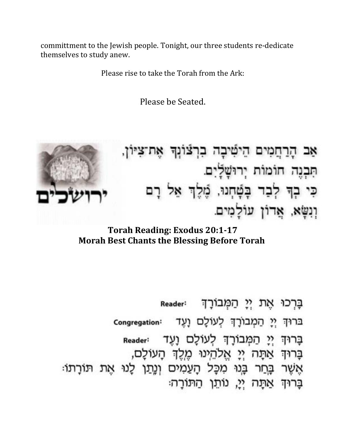committment to the Jewish people. Tonight, our three students re-dedicate themselves to study anew.

Please rise to take the Torah from the Ark:

Please be Seated.



הַרַחֲמִים הֵישִּׁיבָה בְרִצּוֹנִךְ אֶת־צִיּוֹן, אב תִּבְנֵה חוֹמוֹת יְרוּשָׁלַיִם. כִּי בְדָּ לְבָד בָּטָ֫חָנוּ, מֵכֵּׂךְ אֵל רָם וְנִשָּׁא, אֲדוֹן עוֹלָמִים.

**Torah Reading: Exodus 20:1-17 Morah Best Chants the Blessing Before Torah** 

בַּרְכוּ אֶת יִיַ הַמְּבוֹרָךְ Reader: בּרוּךְ יְיָ הַמְבוֹרָךְ לְעוֹלָם וָעֶד Congregation: בָרוּךְ יְיָ הַמְּבוֹרָךְ לְעוֹלָם וָעֶד Reader בָּרוּךְ אַתָּה יְיָ אֱלֹהֵינוּ מֵלֵךְ הַעוֹלֵם, אֲשֶׁר בָּחַר בָּנוּ מִכָּל הָעַמִים וְנֵתַן לָנוּ אֶת תּוֹרָתוֹ: בַּרוּדְ אַתָּה יִי, נוֹתֵן הַתּוֹרַה: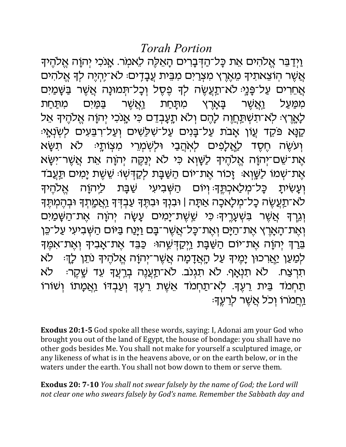וַיִדַּבֵּר אֵלהִים אֵת כָּל־הַדִּבָרִים הָאֵלֶה לֵאמִר. אֲנִכְי יְהוָה אֵלהֵיךָ אֲשֶׁר הוֹצְאתִיךְ מֵאֵרֶץ מִצְרַיִם מִבִּית עֲבָדֵים: לא־יַהְיֵה לִךְ אֵלֹהִים אֲחֵרִים עַל־פָּנָיּ לֹא־תַגְעֵשֶׂה לִדְ פֵסֶל וְכָל־תְּמוּנָה אֲשֶׁר בַּשֶּׁמַיִּם מתַחת במים ואשר בארץ ואשר ממעל מתחת לַאֲרֶץ: לְא־תִשְׁתֲחֲוָה לַהֵם וְלֹא תֲעֲבְדֶם כִּי אֲנְכִי יְהוַה אֱלֹהֵיךָ אֵל קַנָּא פּקֶד עֵוֹן אַבת עַל־בַּנִים עַל־שָׁלֶשִׁים וְעַל־רְבֵּעִים לְשָׂנְאֵיּ וְעִשֶׂה חֵסֶד לַאֲלָפִים לִאהֲבַי וּלִשְׁמְרֵי מִצְוֹתֵי: לא תשא אֶת־שֶׁם־יִהְוָה אֱלֹהֵיךָ לַשָּׁוָא כִּי לֹא יְנַקֶה יְהוָה אֵת אֲשֶׁר־יִשָּׂא אֶת־שָׁמוֹ לַשֱוָא׃ זָכוֹר אֶת־יוֹם הַשַּׁבָּת לִקַדִּשְׁוּ׃ שֶׁשֶׁת יָמִים תַּעֲבֹד וְעֲשִׂיתַ כַּל־מִלַאְכִתֱךָּ׃וְיוֹם הַשָּׁבִיעִי שַׁבַּת לֵיְהוַֹה אלהיד לא־תַעֲשֶׂה כָל־מְלַאכָה אַתָּה | וּבִנְךָ וּבְתֵּךְ עַבְדִּךְ וַאֲמֶתָךָ וּבְהֵמְתֵּךָ וְגֶרֶךְ אֲשֶׁר בָּשָׁעֲרֵיךָ כִּי שֵׁשֶׁת־יַמִים עַשַׂה יְהוַה אֶת־הַשָּׁמַיִם וְאֵת־הָאֲרֶץ אֶת־הַיַּם וְאֶת־כָּל־אֲשֶׁר־בָּם וַיָּנַח בַּיּוֹם הַשָּׁבִיעִי עַל־כֵּן ּבֵרַךְ יְהֹוָה אֶת־יוֹם הַשַּׁבַּת וַיִּקַדְּשֶׁהוּּ כַּבֵּד אֲת־אַבִיךָ וְאֵת־אִמֵּךְ לִמַעַן י<u>ַאֲ</u>רכוּן יָמֶיךָ עַל הָאֲדָמָה אֲשֶׁר־יְהוָה אֱלֹהֶיךָ נֹתֵן לְדֶּ≔ לֹא ּתְרָצַח. לֹא תְנָאַף. לֹא תִגְנֹב. לֹא־תַעֲנֵה בְרֵעֲךָ עֵד שָׁקֵר: לא תַחִמד בֵּית רֵעֵךָּ. לְא־תַחָמד אֵשֶׁת רֵעֵךְ וְעַבְדּוֹ וַאֲמָתוֹ וְשׁוֹרוֹ ַוַחמרו וכל אַשֶׁר לְרַעֲךָ

**Exodus 20:1-5** God spoke all these words, saying: I, Adonai am your God who brought you out of the land of Egypt, the house of bondage: you shall have no other gods besides Me. You shall not make for yourself a sculptured image, or any likeness of what is in the heavens above, or on the earth below, or in the waters under the earth. You shall not bow down to them or serve them.

**Exodus 20: 7-10** You shall not swear falsely by the name of God; the Lord will not clear one who swears falsely by God's name. Remember the Sabbath day and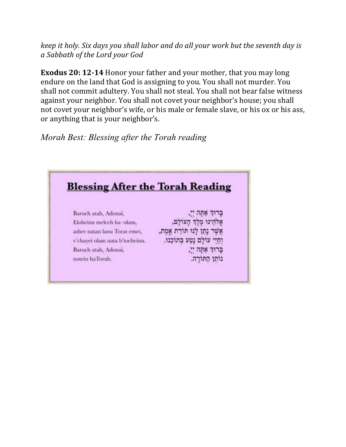keep it holy. Six days you shall labor and do all your work but the seventh day is a Sabbath of the Lord your God

**Exodus 20: 12-14 Honor your father and your mother, that you may long** endure on the land that God is assigning to you. You shall not murder. You shall not commit adultery. You shall not steal. You shall not bear false witness against your neighbor. You shall not covet your neighbor's house; you shall not covet your neighbor's wife, or his male or female slave, or his ox or his ass, or anything that is your neighbor's.

Morah Best: Blessing after the Torah reading

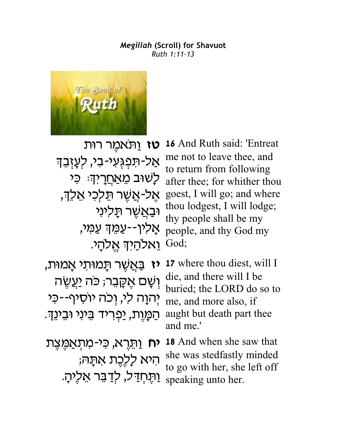#### *Megillah* **(Scroll) for Shavuot** *Ruth 1:11-13*



**טז** וַתֹּאמֵר רוּת ּאַל-תּפִגִּעי-בי, לִעָזְבֵך לַשׁוּב מֵ<u>אַחֲר</u>יִדְः כִּי א<mark>ָ</mark>ל-אֲשֶׁר תֵּלְכִי אֵלֵךְ, וֹבַאֲשֶׁר תַּלִינִי אַליו--עַמֵד עַמִי, י God; **God**;

**16** And Ruth said: 'Entreat me not to leave thee, and to return from following after thee; for whither thou goest, I will go; and where thou lodgest, I will lodge; thy people shall be my people, and thy God my

<mark>ֿיז בַּ</mark>אֲשֶׁר תָּמוּתִי אָמוּת, <mark>ֿוְשֵׁם אֲק</mark>ַבֶּר; כֹּה יַעֲשֶׂה יְהוַה לִי, וְכַה יוּסִיף--כִּי הַמֲוֶת, יַפְרִיד בֵּינִי וּבֵינֵךָ.

**17** where thou diest, will I die, and there will I be buried; the LORD do so to me, and more also, if aught but death part thee and me.'

**יח** וַתְּרֵא, כִּי-מִתְאַמֵּצֵת היא לַלֵּבֵת אתָה; reaking unto her.<br>speaking unto her. יִתְּחְדַל, לְדַבֵּר אֵלֶיהָ.

**18** And when she saw that she was stedfastly minded to go with her, she left off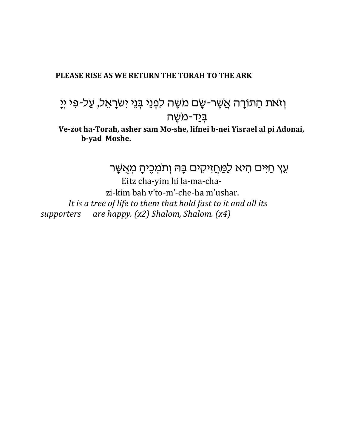#### PLEASE RISE AS WE RETURN THE TORAH TO THE ARK

# וְזאת הַתוֹרָה אֲשֶׁר-שָׂם מִשֶׁה לִפְנֵי בְּנֵי יִשׂרָאֵל, עַל-פִּי יְיָ <u>בִּי</u>ד-משֵׁה

Ve-zot ha-Torah, asher sam Mo-she, lifnei b-nei Yisrael al pi Adonai, b-yad Moshe.

עֵץ חַיִּים הִיא לַמַּחֲזִיקִים בָּה וְתֹמְכֶיהָ מְאֵשָּׁר

Eitz cha-yim hi la-ma-chazi-kim bah v'to-m'-che-ha m'ushar. It is a tree of life to them that hold fast to it and all its are happy.  $(x2)$  Shalom, Shalom.  $(x4)$ supporters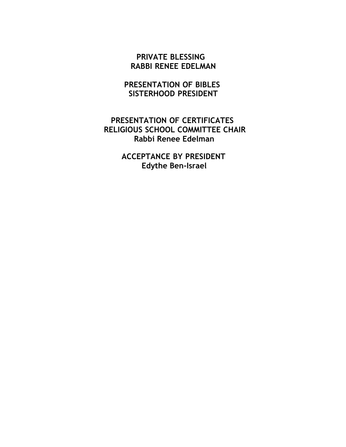### **PRIVATE BLESSING RABBI RENEE EDELMAN**

### **PRESENTATION OF BIBLES SISTERHOOD PRESIDENT**

### **PRESENTATION OF CERTIFICATES RELIGIOUS SCHOOL COMMITTEE CHAIR Rabbi Renee Edelman**

**ACCEPTANCE BY PRESIDENT Edythe Ben-Israel**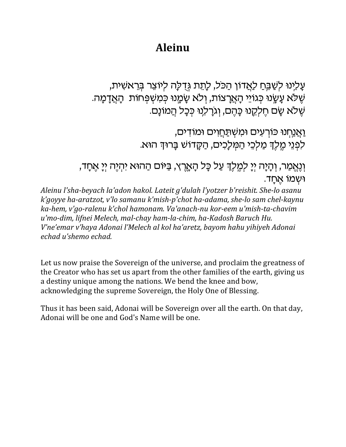### **Aleinu**

עָלִינוּ לִשַּׁבֵּחַ לַאֲדוֹן הַכֹּל, לָתֵת גְּדֻלָּה לִיוֹצֵר בְּרֵאשִׁית, ּשֶׁלֹא עָשֶׂנוּ כְּגוֹיֵי הָאֲרָצוֹת, וְלֹא שֶׂמֲנוּ כְּמִשְׁפְּחוֹת הָאֲדָמָה. שלא שם חלסנו כחם, וגרלנו ככל המונם.

> <u>ואַנחנו כּוֹרְעִים וּמְשִׁתַּחֲוִים וּמוֹדִים,</u> לִפְנֵי מֵלֶךְ מַלְכֵי הַמְּלַכִים, הַקֲדוֹשׁ בַּרוּךְ הוּא.

וְנֵאֵמַר, וְהָיָה יִיָ לִמֵלֵךְ עַל כָּל הָאָרֵץ, בַּיּוּם הַהוּא יִהְיֵה יִיָ אֵחָד, וּשָמוֹ אַחֲד.

Aleinu l'sha-beyach la'adon hakol. Lateit g'dulah l'yotzer b'reishit. She-lo asanu k'goyye ha-aratzot, y'lo samanu k'mish-p'chot ha-adama, she-lo sam chel-kaynu ka-hem, v'go-ralenu k'chol hamonam. Va'anach-nu kor-eem u'mish-ta-chavim u'mo-dim, lifnei Melech, mal-chay ham-la-chim, ha-Kadosh Baruch Hu. V'ne'emar v'haya Adonai l'Melech al kol ha'aretz, bayom hahu yihiyeh Adonai echad u'shemo echad.

Let us now praise the Sovereign of the universe, and proclaim the greatness of the Creator who has set us apart from the other families of the earth, giving us a destiny unique among the nations. We bend the knee and bow, acknowledging the supreme Sovereign, the Holy One of Blessing.

Thus it has been said, Adonai will be Sovereign over all the earth. On that day, Adonai will be one and God's Name will be one.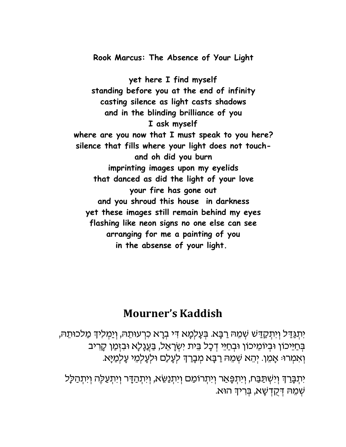**Rook Marcus: The Absence of Your Light**

**yet here I find myself standing before you at the end of infinity casting silence as light casts shadows and in the blinding brilliance of you I ask myself where are you now that I must speak to you here? silence that fills where your light does not touchand oh did you burn imprinting images upon my eyelids that danced as did the light of your love your fire has gone out and you shroud this house in darkness yet these images still remain behind my eyes flashing like neon signs no one else can see arranging for me a painting of you in the absense of your light.** 

### **Mourner's Kaddish**

יִתְגַּדַל וִיתִקַדַשׁ שִׁמֵהּ רַבָּא. בִּעָלְמָא דִי בִרָא כִרְעוּתֵהּ, וְיַמְלִידְ מַלכוּתֵה*ּ,* בְּחַיֵּכוֹן וּבְיוֹמֵיכוֹן וּבְחַיֵּי דְּכָל בֵּית יִשְׂרָאֵל, בַּעֲנָלָא וּבִזְמַן קָרִיב וְאַמְרוּ: אָמֵן. יְהֵא שִׁמֵה רַבָּא מִבָרַךְ לְעַלַם וּלִעַלִמֵי עַלְמַיַּא.

יִתְבָּרַךְ וְיִשְׁתַּבַּח, וְיִתְפָּאַר וְיִתְרוֹמַם וְיִתְנַשֵּׂא, וְיִתְהַדָּר וְיִתְעֲלֶה וְיִתְהַלַּל .<br>שְׁמֵהּ דְּקֻדְשָׁא, בְּרִידְ הוּא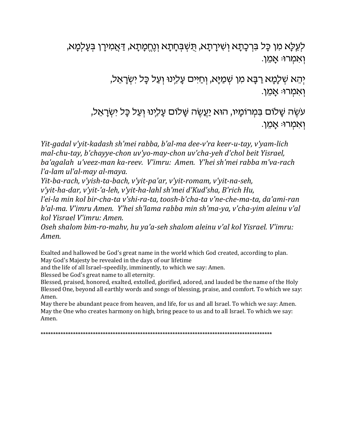לְעֵלָא מִן כָּל בִּרְכָתָא וְשִׁירָתָא, תִּשְׁבְּחָתָא וְנֶחֱמְתָא, דַּאֲמִירָן בְּעָלְמָא, ואמרו אמן.

> יְהֵא שְׁלָמָא רַבָּא מִן שְׁמַיָּא, וְחַיּים עָלִינוּ וְעַל כָּל יִשְׂרָאֵל, ַוְאֲמְרוּ: אֲמֵן.

עשֶׂה שָׁלוּם בּמְרוֹמַיו, הוּא יַעֲשֶׂה שָׁלוֹם עָלִינוּ וְעַל כָּל יִשְׂרָאֵל, ואמרו אָמֵן.

Yit-gadal v'yit-kadash sh'mei rabba, b'al-ma dee-v'ra keer-u-tay, v'yam-lich mal-chu-tay, b'chayye-chon uv'yo-may-chon uv'cha-yeh d'chol beit Yisrael, ba'agalah u'veez-man ka-reev. V'imru: Amen. Y'hei sh'mei rabba m'va-rach l'a-lam ul'al-may al-maya.

Yit-ba-rach, v'yish-ta-bach, v'yit-pa'ar, v'yit-romam, v'yit-na-seh,

v'yit-ha-dar, v'yit-'a-leh, v'yit-ha-lahl sh'mei d'Kud'sha, B'rich Hu,

l'ei-la min kol bir-cha-ta v'shi-ra-ta, toosh-b'cha-ta v'ne-che-ma-ta, da'ami-ran b'al-ma. V'imru Amen. Y'hei sh'lama rabba min sh'ma-ya, v'cha-yim aleinu v'al kol Yisrael V'imru: Amen.

Oseh shalom bim-ro-mahv, hu ya'a-seh shalom aleinu v'al kol Yisrael. V'imru: Amen.

Exalted and hallowed be God's great name in the world which God created, according to plan. May God's Majesty be revealed in the days of our lifetime

and the life of all Israel-speedily, imminently, to which we say: Amen.

Blessed be God's great name to all eternity.

Blessed, praised, honored, exalted, extolled, glorified, adored, and lauded be the name of the Holy Blessed One, beyond all earthly words and songs of blessing, praise, and comfort. To which we say: Amen.

May there be abundant peace from heaven, and life, for us and all Israel. To which we say: Amen. May the One who creates harmony on high, bring peace to us and to all Israel. To which we say: Amen.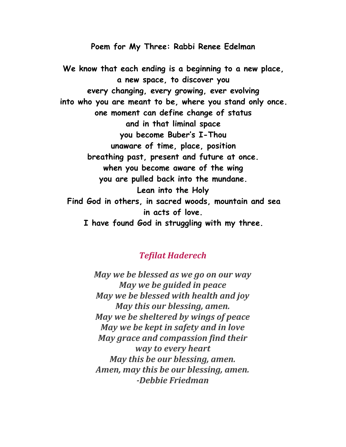**Poem for My Three: Rabbi Renee Edelman**

**We know that each ending is a beginning to a new place, a new space, to discover you every changing, every growing, ever evolving into who you are meant to be, where you stand only once. one moment can define change of status and in that liminal space you become Buber's I-Thou unaware of time, place, position breathing past, present and future at once. when you become aware of the wing you are pulled back into the mundane. Lean into the Holy Find God in others, in sacred woods, mountain and sea in acts of love. I have found God in struggling with my three.**

### **Tefilat Haderech**

May we be blessed as we go on our way *May we be guided in peace* May we be blessed with health and joy May this our blessing, amen. *May we be sheltered by wings of peace May we be kept in safety and in love* May grace and compassion find their way to every heart May this be our blessing, amen. Amen, may this be our blessing, amen.  *--!-*